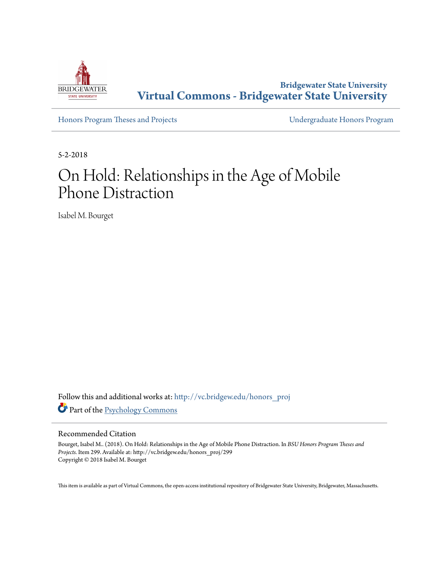

**Bridgewater State University [Virtual Commons - Bridgewater State University](http://vc.bridgew.edu?utm_source=vc.bridgew.edu%2Fhonors_proj%2F299&utm_medium=PDF&utm_campaign=PDFCoverPages)**

[Honors Program Theses and Projects](http://vc.bridgew.edu/honors_proj?utm_source=vc.bridgew.edu%2Fhonors_proj%2F299&utm_medium=PDF&utm_campaign=PDFCoverPages) [Undergraduate Honors Program](http://vc.bridgew.edu/honors?utm_source=vc.bridgew.edu%2Fhonors_proj%2F299&utm_medium=PDF&utm_campaign=PDFCoverPages)

5-2-2018

# On Hold: Relationships in the Age of Mobile Phone Distraction

Isabel M. Bourget

Follow this and additional works at: [http://vc.bridgew.edu/honors\\_proj](http://vc.bridgew.edu/honors_proj?utm_source=vc.bridgew.edu%2Fhonors_proj%2F299&utm_medium=PDF&utm_campaign=PDFCoverPages) Part of the [Psychology Commons](http://network.bepress.com/hgg/discipline/404?utm_source=vc.bridgew.edu%2Fhonors_proj%2F299&utm_medium=PDF&utm_campaign=PDFCoverPages)

#### Recommended Citation

Bourget, Isabel M.. (2018). On Hold: Relationships in the Age of Mobile Phone Distraction. In *BSU Honors Program Theses and Projects.* Item 299. Available at: http://vc.bridgew.edu/honors\_proj/299 Copyright © 2018 Isabel M. Bourget

This item is available as part of Virtual Commons, the open-access institutional repository of Bridgewater State University, Bridgewater, Massachusetts.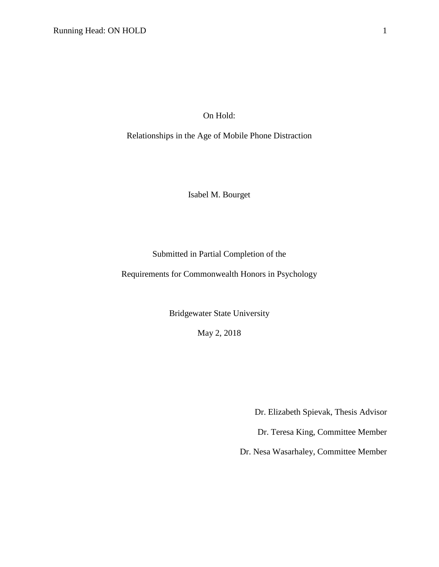On Hold:

Relationships in the Age of Mobile Phone Distraction

Isabel M. Bourget

Submitted in Partial Completion of the

Requirements for Commonwealth Honors in Psychology

Bridgewater State University

May 2, 2018

Dr. Elizabeth Spievak, Thesis Advisor

Dr. Teresa King, Committee Member

Dr. Nesa Wasarhaley, Committee Member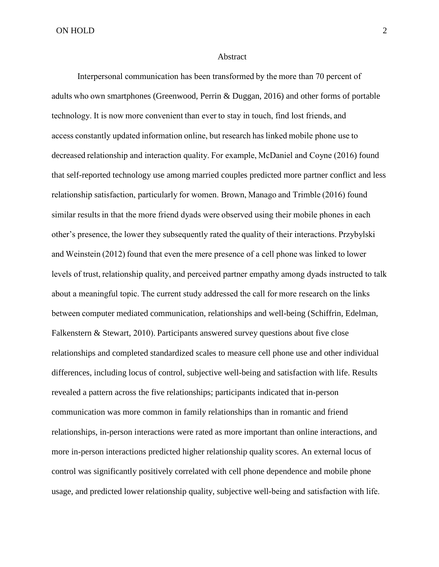ON HOLD 2

#### Abstract

Interpersonal communication has been transformed by the more than 70 percent of adults who own smartphones (Greenwood, Perrin & Duggan, 2016) and other forms of portable technology. It is now more convenient than ever to stay in touch, find lost friends, and access constantly updated information online, but research has linked mobile phone use to decreased relationship and interaction quality. For example, McDaniel and Coyne (2016) found that self-reported technology use among married couples predicted more partner conflict and less relationship satisfaction, particularly for women. Brown, Manago and Trimble (2016) found similar results in that the more friend dyads were observed using their mobile phones in each other's presence, the lower they subsequently rated the quality of their interactions. Przybylski and Weinstein (2012) found that even the mere presence of a cell phone was linked to lower levels of trust, relationship quality, and perceived partner empathy among dyads instructed to talk about a meaningful topic. The current study addressed the call for more research on the links between computer mediated communication, relationships and well-being (Schiffrin, Edelman, Falkenstern & Stewart, 2010). Participants answered survey questions about five close relationships and completed standardized scales to measure cell phone use and other individual differences, including locus of control, subjective well-being and satisfaction with life. Results revealed a pattern across the five relationships; participants indicated that in-person communication was more common in family relationships than in romantic and friend relationships, in-person interactions were rated as more important than online interactions, and more in-person interactions predicted higher relationship quality scores. An external locus of control was significantly positively correlated with cell phone dependence and mobile phone usage, and predicted lower relationship quality, subjective well-being and satisfaction with life.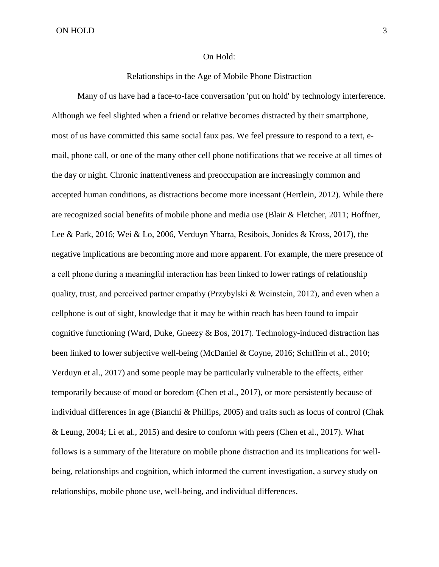### On Hold:

# Relationships in the Age of Mobile Phone Distraction

Many of us have had a face-to-face conversation 'put on hold' by technology interference. Although we feel slighted when a friend or relative becomes distracted by their smartphone, most of us have committed this same social faux pas. We feel pressure to respond to a text, email, phone call, or one of the many other cell phone notifications that we receive at all times of the day or night. Chronic inattentiveness and preoccupation are increasingly common and accepted human conditions, as distractions become more incessant (Hertlein, 2012). While there are recognized social benefits of mobile phone and media use (Blair & Fletcher, 2011; Hoffner, Lee & Park, 2016; Wei & Lo, 2006, Verduyn Ybarra, Resibois, Jonides & Kross, 2017), the negative implications are becoming more and more apparent. For example, the mere presence of a cell phone during a meaningful interaction has been linked to lower ratings of relationship quality, trust, and perceived partner empathy (Przybylski & Weinstein, 2012), and even when a cellphone is out of sight, knowledge that it may be within reach has been found to impair cognitive functioning (Ward, Duke, Gneezy  $\&$  Bos, 2017). Technology-induced distraction has been linked to lower subjective well-being (McDaniel & Coyne, 2016; Schiffrin et al., 2010; Verduyn et al., 2017) and some people may be particularly vulnerable to the effects, either temporarily because of mood or boredom (Chen et al., 2017), or more persistently because of individual differences in age (Bianchi & Phillips, 2005) and traits such as locus of control (Chak & Leung, 2004; Li et al., 2015) and desire to conform with peers (Chen et al., 2017). What follows is a summary of the literature on mobile phone distraction and its implications for wellbeing, relationships and cognition, which informed the current investigation, a survey study on relationships, mobile phone use, well-being, and individual differences.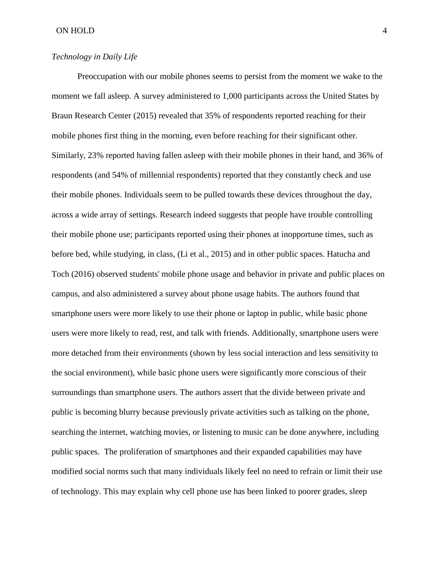# *Technology in Daily Life*

Preoccupation with our mobile phones seems to persist from the moment we wake to the moment we fall asleep. A survey administered to 1,000 participants across the United States by Braun Research Center (2015) revealed that 35% of respondents reported reaching for their mobile phones first thing in the morning, even before reaching for their significant other. Similarly, 23% reported having fallen asleep with their mobile phones in their hand, and 36% of respondents (and 54% of millennial respondents) reported that they constantly check and use their mobile phones. Individuals seem to be pulled towards these devices throughout the day, across a wide array of settings. Research indeed suggests that people have trouble controlling their mobile phone use; participants reported using their phones at inopportune times, such as before bed, while studying, in class, (Li et al., 2015) and in other public spaces. Hatucha and Toch (2016) observed students' mobile phone usage and behavior in private and public places on campus, and also administered a survey about phone usage habits. The authors found that smartphone users were more likely to use their phone or laptop in public, while basic phone users were more likely to read, rest, and talk with friends. Additionally, smartphone users were more detached from their environments (shown by less social interaction and less sensitivity to the social environment), while basic phone users were significantly more conscious of their surroundings than smartphone users. The authors assert that the divide between private and public is becoming blurry because previously private activities such as talking on the phone, searching the internet, watching movies, or listening to music can be done anywhere, including public spaces. The proliferation of smartphones and their expanded capabilities may have modified social norms such that many individuals likely feel no need to refrain or limit their use of technology. This may explain why cell phone use has been linked to poorer grades, sleep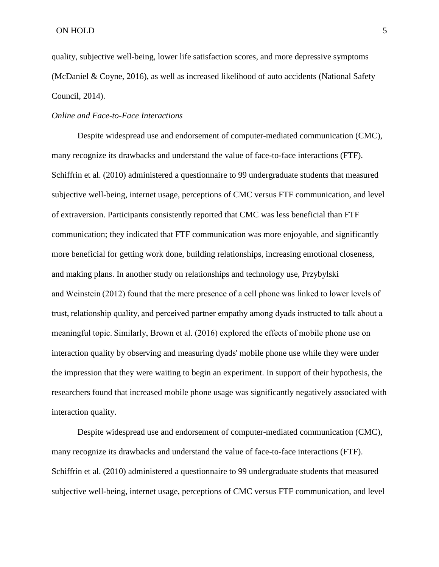quality, subjective well-being, lower life satisfaction scores, and more depressive symptoms (McDaniel & Coyne, 2016), as well as increased likelihood of auto accidents (National Safety Council, 2014).

## *Online and Face-to-Face Interactions*

Despite widespread use and endorsement of computer-mediated communication (CMC), many recognize its drawbacks and understand the value of face-to-face interactions (FTF). Schiffrin et al. (2010) administered a questionnaire to 99 undergraduate students that measured subjective well-being, internet usage, perceptions of CMC versus FTF communication, and level of extraversion. Participants consistently reported that CMC was less beneficial than FTF communication; they indicated that FTF communication was more enjoyable, and significantly more beneficial for getting work done, building relationships, increasing emotional closeness, and making plans. In another study on relationships and technology use, Przybylski and Weinstein (2012) found that the mere presence of a cell phone was linked to lower levels of trust, relationship quality, and perceived partner empathy among dyads instructed to talk about a meaningful topic. Similarly, Brown et al. (2016) explored the effects of mobile phone use on interaction quality by observing and measuring dyads' mobile phone use while they were under the impression that they were waiting to begin an experiment. In support of their hypothesis, the researchers found that increased mobile phone usage was significantly negatively associated with interaction quality.

Despite widespread use and endorsement of computer-mediated communication (CMC), many recognize its drawbacks and understand the value of face-to-face interactions (FTF). Schiffrin et al. (2010) administered a questionnaire to 99 undergraduate students that measured subjective well-being, internet usage, perceptions of CMC versus FTF communication, and level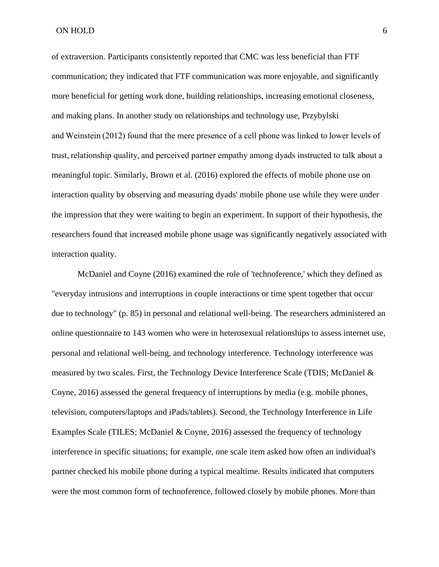of extraversion. Participants consistently reported that CMC was less beneficial than FTF communication; they indicated that FTF communication was more enjoyable, and significantly more beneficial for getting work done, building relationships, increasing emotional closeness, and making plans. In another study on relationships and technology use, Przybylski and Weinstein (2012) found that the mere presence of a cell phone was linked to lower levels of trust, relationship quality, and perceived partner empathy among dyads instructed to talk about a meaningful topic. Similarly, Brown et al. (2016) explored the effects of mobile phone use on interaction quality by observing and measuring dyads' mobile phone use while they were under the impression that they were waiting to begin an experiment. In support of their hypothesis, the researchers found that increased mobile phone usage was significantly negatively associated with interaction quality.

McDaniel and Coyne (2016) examined the role of 'technoference,' which they defined as "everyday intrusions and interruptions in couple interactions or time spent together that occur due to technology" (p. 85) in personal and relational well-being. The researchers administered an online questionnaire to 143 women who were in heterosexual relationships to assess internet use, personal and relational well-being, and technology interference. Technology interference was measured by two scales. First, the Technology Device Interference Scale (TDIS; McDaniel & Coyne, 2016) assessed the general frequency of interruptions by media (e.g. mobile phones, television, computers/laptops and iPads/tablets). Second, the Technology Interference in Life Examples Scale (TILES; McDaniel & Coyne, 2016) assessed the frequency of technology interference in specific situations; for example, one scale item asked how often an individual's partner checked his mobile phone during a typical mealtime. Results indicated that computers were the most common form of technoference, followed closely by mobile phones. More than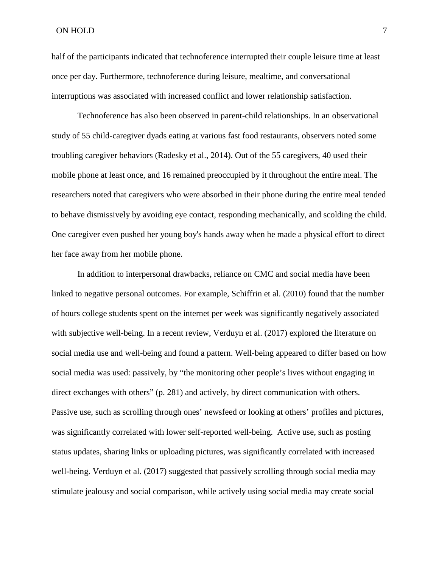half of the participants indicated that technoference interrupted their couple leisure time at least once per day. Furthermore, technoference during leisure, mealtime, and conversational interruptions was associated with increased conflict and lower relationship satisfaction.

Technoference has also been observed in parent-child relationships. In an observational study of 55 child-caregiver dyads eating at various fast food restaurants, observers noted some troubling caregiver behaviors (Radesky et al., 2014). Out of the 55 caregivers, 40 used their mobile phone at least once, and 16 remained preoccupied by it throughout the entire meal. The researchers noted that caregivers who were absorbed in their phone during the entire meal tended to behave dismissively by avoiding eye contact, responding mechanically, and scolding the child. One caregiver even pushed her young boy's hands away when he made a physical effort to direct her face away from her mobile phone.

In addition to interpersonal drawbacks, reliance on CMC and social media have been linked to negative personal outcomes. For example, Schiffrin et al. (2010) found that the number of hours college students spent on the internet per week was significantly negatively associated with subjective well-being. In a recent review, Verduyn et al. (2017) explored the literature on social media use and well-being and found a pattern. Well-being appeared to differ based on how social media was used: passively, by "the monitoring other people's lives without engaging in direct exchanges with others" (p. 281) and actively, by direct communication with others. Passive use, such as scrolling through ones' newsfeed or looking at others' profiles and pictures, was significantly correlated with lower self-reported well-being. Active use, such as posting status updates, sharing links or uploading pictures, was significantly correlated with increased well-being. Verduyn et al. (2017) suggested that passively scrolling through social media may stimulate jealousy and social comparison, while actively using social media may create social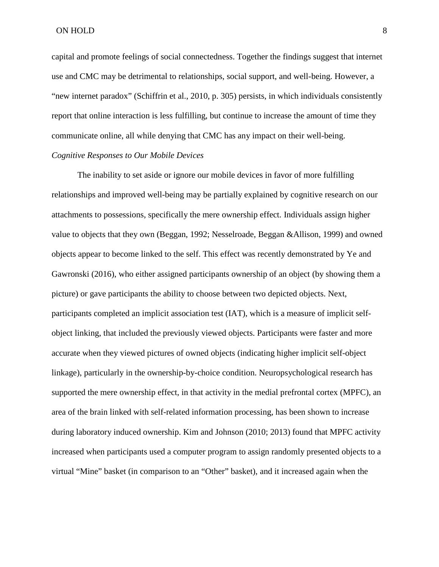capital and promote feelings of social connectedness. Together the findings suggest that internet use and CMC may be detrimental to relationships, social support, and well-being. However, a "new internet paradox" (Schiffrin et al., 2010, p. 305) persists, in which individuals consistently report that online interaction is less fulfilling, but continue to increase the amount of time they communicate online, all while denying that CMC has any impact on their well-being.

# *Cognitive Responses to Our Mobile Devices*

The inability to set aside or ignore our mobile devices in favor of more fulfilling relationships and improved well-being may be partially explained by cognitive research on our attachments to possessions, specifically the mere ownership effect. Individuals assign higher value to objects that they own (Beggan, 1992; Nesselroade, Beggan &Allison, 1999) and owned objects appear to become linked to the self. This effect was recently demonstrated by Ye and Gawronski (2016), who either assigned participants ownership of an object (by showing them a picture) or gave participants the ability to choose between two depicted objects. Next, participants completed an implicit association test (IAT), which is a measure of implicit selfobject linking, that included the previously viewed objects. Participants were faster and more accurate when they viewed pictures of owned objects (indicating higher implicit self-object linkage), particularly in the ownership-by-choice condition. Neuropsychological research has supported the mere ownership effect, in that activity in the medial prefrontal cortex (MPFC), an area of the brain linked with self-related information processing, has been shown to increase during laboratory induced ownership. Kim and Johnson (2010; 2013) found that MPFC activity increased when participants used a computer program to assign randomly presented objects to a virtual "Mine" basket (in comparison to an "Other" basket), and it increased again when the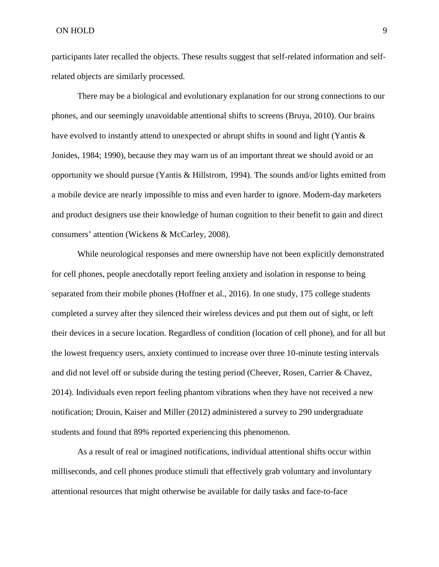participants later recalled the objects. These results suggest that self-related information and selfrelated objects are similarly processed.

There may be a biological and evolutionary explanation for our strong connections to our phones, and our seemingly unavoidable attentional shifts to screens (Bruya, 2010). Our brains have evolved to instantly attend to unexpected or abrupt shifts in sound and light (Yantis & Jonides, 1984; 1990), because they may warn us of an important threat we should avoid or an opportunity we should pursue (Yantis & Hillstrom, 1994). The sounds and/or lights emitted from a mobile device are nearly impossible to miss and even harder to ignore. Modern-day marketers and product designers use their knowledge of human cognition to their benefit to gain and direct consumers' attention (Wickens & McCarley, 2008).

While neurological responses and mere ownership have not been explicitly demonstrated for cell phones, people anecdotally report feeling anxiety and isolation in response to being separated from their mobile phones (Hoffner et al., 2016). In one study, 175 college students completed a survey after they silenced their wireless devices and put them out of sight, or left their devices in a secure location. Regardless of condition (location of cell phone), and for all but the lowest frequency users, anxiety continued to increase over three 10-minute testing intervals and did not level off or subside during the testing period (Cheever, Rosen, Carrier & Chavez, 2014). Individuals even report feeling phantom vibrations when they have not received a new notification; Drouin, Kaiser and Miller (2012) administered a survey to 290 undergraduate students and found that 89% reported experiencing this phenomenon.

As a result of real or imagined notifications, individual attentional shifts occur within milliseconds, and cell phones produce stimuli that effectively grab voluntary and involuntary attentional resources that might otherwise be available for daily tasks and face-to-face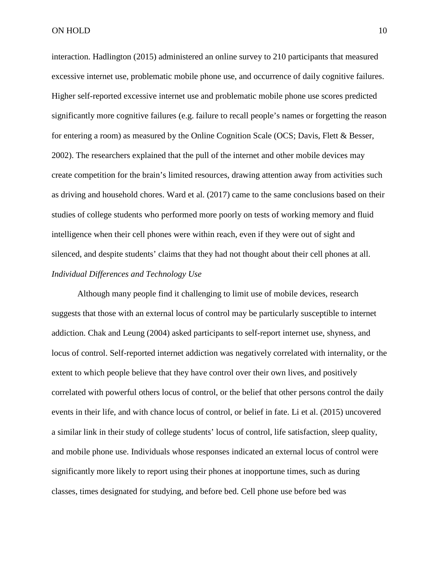interaction. Hadlington (2015) administered an online survey to 210 participants that measured excessive internet use, problematic mobile phone use, and occurrence of daily cognitive failures. Higher self-reported excessive internet use and problematic mobile phone use scores predicted significantly more cognitive failures (e.g. failure to recall people's names or forgetting the reason for entering a room) as measured by the Online Cognition Scale (OCS; Davis, Flett & Besser, 2002). The researchers explained that the pull of the internet and other mobile devices may create competition for the brain's limited resources, drawing attention away from activities such as driving and household chores. Ward et al. (2017) came to the same conclusions based on their studies of college students who performed more poorly on tests of working memory and fluid intelligence when their cell phones were within reach, even if they were out of sight and silenced, and despite students' claims that they had not thought about their cell phones at all. *Individual Differences and Technology Use*

Although many people find it challenging to limit use of mobile devices, research suggests that those with an external locus of control may be particularly susceptible to internet addiction. Chak and Leung (2004) asked participants to self-report internet use, shyness, and locus of control. Self-reported internet addiction was negatively correlated with internality, or the extent to which people believe that they have control over their own lives, and positively correlated with powerful others locus of control, or the belief that other persons control the daily events in their life, and with chance locus of control, or belief in fate. Li et al. (2015) uncovered a similar link in their study of college students' locus of control, life satisfaction, sleep quality, and mobile phone use. Individuals whose responses indicated an external locus of control were significantly more likely to report using their phones at inopportune times, such as during classes, times designated for studying, and before bed. Cell phone use before bed was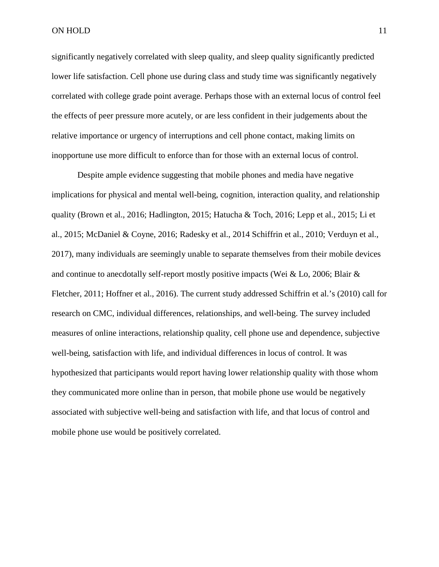significantly negatively correlated with sleep quality, and sleep quality significantly predicted lower life satisfaction. Cell phone use during class and study time was significantly negatively correlated with college grade point average. Perhaps those with an external locus of control feel the effects of peer pressure more acutely, or are less confident in their judgements about the relative importance or urgency of interruptions and cell phone contact, making limits on inopportune use more difficult to enforce than for those with an external locus of control.

Despite ample evidence suggesting that mobile phones and media have negative implications for physical and mental well-being, cognition, interaction quality, and relationship quality (Brown et al., 2016; Hadlington, 2015; Hatucha & Toch, 2016; Lepp et al., 2015; Li et al., 2015; McDaniel & Coyne, 2016; Radesky et al., 2014 Schiffrin et al., 2010; Verduyn et al., 2017), many individuals are seemingly unable to separate themselves from their mobile devices and continue to anecdotally self-report mostly positive impacts (Wei & Lo, 2006; Blair & Fletcher, 2011; Hoffner et al., 2016). The current study addressed Schiffrin et al.'s (2010) call for research on CMC, individual differences, relationships, and well-being. The survey included measures of online interactions, relationship quality, cell phone use and dependence, subjective well-being, satisfaction with life, and individual differences in locus of control. It was hypothesized that participants would report having lower relationship quality with those whom they communicated more online than in person, that mobile phone use would be negatively associated with subjective well-being and satisfaction with life, and that locus of control and mobile phone use would be positively correlated.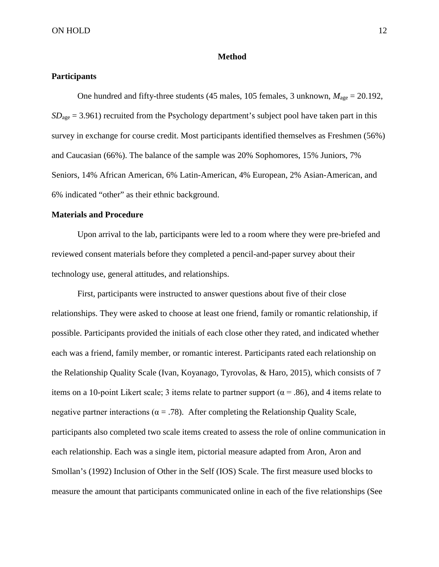### **Method**

# **Participants**

One hundred and fifty-three students (45 males, 105 females, 3 unknown, *M*age = 20.192, *SD*<sub>age</sub> = 3.961) recruited from the Psychology department's subject pool have taken part in this survey in exchange for course credit. Most participants identified themselves as Freshmen (56%) and Caucasian (66%). The balance of the sample was 20% Sophomores, 15% Juniors, 7% Seniors, 14% African American, 6% Latin-American, 4% European, 2% Asian-American, and 6% indicated "other" as their ethnic background.

## **Materials and Procedure**

Upon arrival to the lab, participants were led to a room where they were pre-briefed and reviewed consent materials before they completed a pencil-and-paper survey about their technology use, general attitudes, and relationships.

First, participants were instructed to answer questions about five of their close relationships. They were asked to choose at least one friend, family or romantic relationship, if possible. Participants provided the initials of each close other they rated, and indicated whether each was a friend, family member, or romantic interest. Participants rated each relationship on the Relationship Quality Scale (Ivan, Koyanago, Tyrovolas, & Haro, 2015), which consists of 7 items on a 10-point Likert scale; 3 items relate to partner support ( $\alpha$  = .86), and 4 items relate to negative partner interactions ( $\alpha = .78$ ). After completing the Relationship Quality Scale, participants also completed two scale items created to assess the role of online communication in each relationship. Each was a single item, pictorial measure adapted from Aron, Aron and Smollan's (1992) Inclusion of Other in the Self (IOS) Scale. The first measure used blocks to measure the amount that participants communicated online in each of the five relationships (See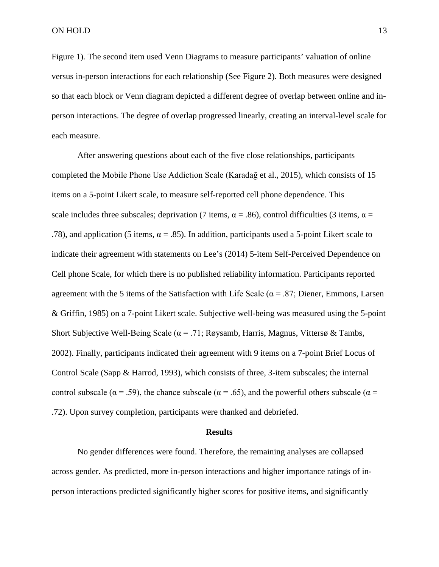Figure 1). The second item used Venn Diagrams to measure participants' valuation of online versus in-person interactions for each relationship (See Figure 2). Both measures were designed so that each block or Venn diagram depicted a different degree of overlap between online and inperson interactions. The degree of overlap progressed linearly, creating an interval-level scale for each measure.

After answering questions about each of the five close relationships, participants completed the Mobile Phone Use Addiction Scale (Karadağ et al., 2015), which consists of 15 items on a 5-point Likert scale, to measure self-reported cell phone dependence. This scale includes three subscales; deprivation (7 items,  $\alpha = .86$ ), control difficulties (3 items,  $\alpha =$ .78), and application (5 items,  $\alpha = .85$ ). In addition, participants used a 5-point Likert scale to indicate their agreement with statements on Lee's (2014) 5-item Self-Perceived Dependence on Cell phone Scale, for which there is no published reliability information. Participants reported agreement with the 5 items of the Satisfaction with Life Scale ( $\alpha$  = .87; Diener, Emmons, Larsen & Griffin, 1985) on a 7-point Likert scale. Subjective well-being was measured using the 5-point Short Subjective Well-Being Scale ( $\alpha$  = .71; Røysamb, Harris, Magnus, Vittersø & Tambs, 2002). Finally, participants indicated their agreement with 9 items on a 7-point Brief Locus of Control Scale (Sapp & Harrod, 1993), which consists of three, 3-item subscales; the internal control subscale ( $\alpha$  = .59), the chance subscale ( $\alpha$  = .65), and the powerful others subscale ( $\alpha$  = .72). Upon survey completion, participants were thanked and debriefed.

#### **Results**

No gender differences were found. Therefore, the remaining analyses are collapsed across gender. As predicted, more in-person interactions and higher importance ratings of inperson interactions predicted significantly higher scores for positive items, and significantly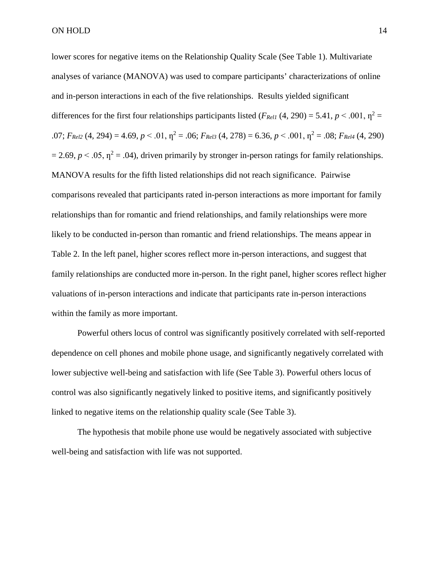lower scores for negative items on the Relationship Quality Scale (See Table 1). Multivariate analyses of variance (MANOVA) was used to compare participants' characterizations of online and in-person interactions in each of the five relationships. Results yielded significant differences for the first four relationships participants listed ( $F_{Rell1}$  (4, 290) = 5.41,  $p < .001$ ,  $p^2 =$ .07;  $F_{Rel2}(4, 294) = 4.69$ ,  $p < .01$ ,  $p^2 = .06$ ;  $F_{Rel3}(4, 278) = 6.36$ ,  $p < .001$ ,  $p^2 = .08$ ;  $F_{Rel4}(4, 290)$  $= 2.69$ ,  $p < .05$ ,  $\eta^2 = .04$ ), driven primarily by stronger in-person ratings for family relationships. MANOVA results for the fifth listed relationships did not reach significance. Pairwise comparisons revealed that participants rated in-person interactions as more important for family relationships than for romantic and friend relationships, and family relationships were more likely to be conducted in-person than romantic and friend relationships. The means appear in Table 2. In the left panel, higher scores reflect more in-person interactions, and suggest that family relationships are conducted more in-person. In the right panel, higher scores reflect higher valuations of in-person interactions and indicate that participants rate in-person interactions within the family as more important.

Powerful others locus of control was significantly positively correlated with self-reported dependence on cell phones and mobile phone usage, and significantly negatively correlated with lower subjective well-being and satisfaction with life (See Table 3). Powerful others locus of control was also significantly negatively linked to positive items, and significantly positively linked to negative items on the relationship quality scale (See Table 3).

The hypothesis that mobile phone use would be negatively associated with subjective well-being and satisfaction with life was not supported.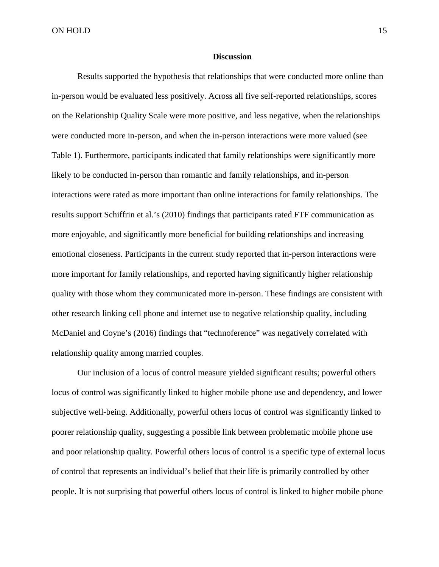## **Discussion**

Results supported the hypothesis that relationships that were conducted more online than in-person would be evaluated less positively. Across all five self-reported relationships, scores on the Relationship Quality Scale were more positive, and less negative, when the relationships were conducted more in-person, and when the in-person interactions were more valued (see Table 1). Furthermore, participants indicated that family relationships were significantly more likely to be conducted in-person than romantic and family relationships, and in-person interactions were rated as more important than online interactions for family relationships. The results support Schiffrin et al.'s (2010) findings that participants rated FTF communication as more enjoyable, and significantly more beneficial for building relationships and increasing emotional closeness. Participants in the current study reported that in-person interactions were more important for family relationships, and reported having significantly higher relationship quality with those whom they communicated more in-person. These findings are consistent with other research linking cell phone and internet use to negative relationship quality, including McDaniel and Coyne's (2016) findings that "technoference" was negatively correlated with relationship quality among married couples.

Our inclusion of a locus of control measure yielded significant results; powerful others locus of control was significantly linked to higher mobile phone use and dependency, and lower subjective well-being. Additionally, powerful others locus of control was significantly linked to poorer relationship quality, suggesting a possible link between problematic mobile phone use and poor relationship quality. Powerful others locus of control is a specific type of external locus of control that represents an individual's belief that their life is primarily controlled by other people. It is not surprising that powerful others locus of control is linked to higher mobile phone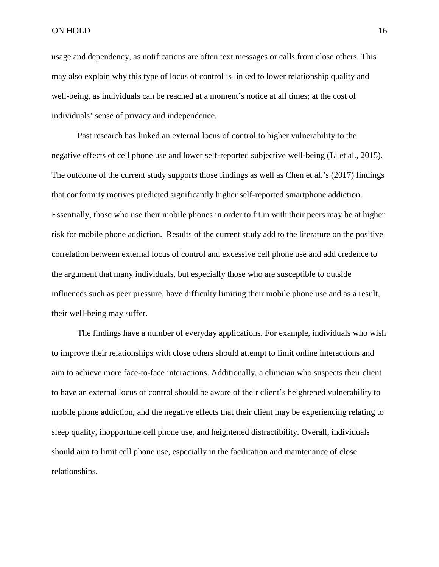ON HOLD 16

usage and dependency, as notifications are often text messages or calls from close others. This may also explain why this type of locus of control is linked to lower relationship quality and well-being, as individuals can be reached at a moment's notice at all times; at the cost of individuals' sense of privacy and independence.

Past research has linked an external locus of control to higher vulnerability to the negative effects of cell phone use and lower self-reported subjective well-being (Li et al., 2015). The outcome of the current study supports those findings as well as Chen et al.'s (2017) findings that conformity motives predicted significantly higher self-reported smartphone addiction. Essentially, those who use their mobile phones in order to fit in with their peers may be at higher risk for mobile phone addiction. Results of the current study add to the literature on the positive correlation between external locus of control and excessive cell phone use and add credence to the argument that many individuals, but especially those who are susceptible to outside influences such as peer pressure, have difficulty limiting their mobile phone use and as a result, their well-being may suffer.

The findings have a number of everyday applications. For example, individuals who wish to improve their relationships with close others should attempt to limit online interactions and aim to achieve more face-to-face interactions. Additionally, a clinician who suspects their client to have an external locus of control should be aware of their client's heightened vulnerability to mobile phone addiction, and the negative effects that their client may be experiencing relating to sleep quality, inopportune cell phone use, and heightened distractibility. Overall, individuals should aim to limit cell phone use, especially in the facilitation and maintenance of close relationships.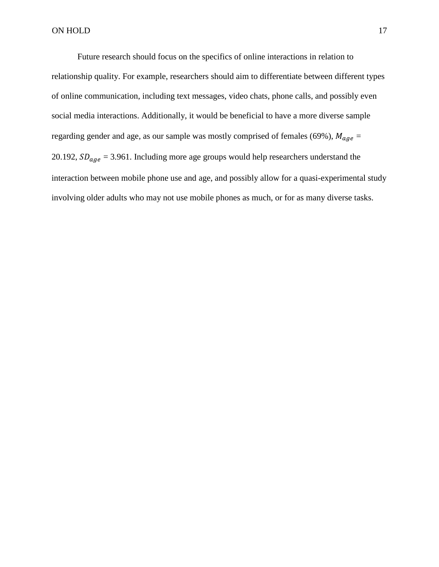Future research should focus on the specifics of online interactions in relation to relationship quality. For example, researchers should aim to differentiate between different types of online communication, including text messages, video chats, phone calls, and possibly even social media interactions. Additionally, it would be beneficial to have a more diverse sample regarding gender and age, as our sample was mostly comprised of females (69%),  $M_{age} =$ 20.192,  $SD_{age} = 3.961$ . Including more age groups would help researchers understand the interaction between mobile phone use and age, and possibly allow for a quasi-experimental study involving older adults who may not use mobile phones as much, or for as many diverse tasks.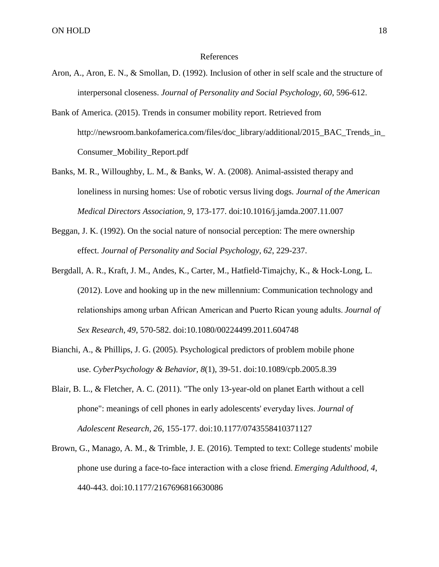#### References

- Aron, A., Aron, E. N., & Smollan, D. (1992). Inclusion of other in self scale and the structure of interpersonal closeness. *Journal of Personality and Social Psychology*, *60*, 596-612.
- Bank of America. (2015). Trends in consumer mobility report. Retrieved from http://newsroom.bankofamerica.com/files/doc\_library/additional/2015\_BAC\_Trends\_in\_ Consumer\_Mobility\_Report.pdf
- Banks, M. R., Willoughby, L. M., & Banks, W. A. (2008). Animal-assisted therapy and loneliness in nursing homes: Use of robotic versus living dogs. *Journal of the American Medical Directors Association, 9*, 173-177. doi:10.1016/j.jamda.2007.11.007
- Beggan, J. K. (1992). On the social nature of nonsocial perception: The mere ownership effect. *Journal of Personality and Social Psychology, 62*, 229-237.
- Bergdall, A. R., Kraft, J. M., Andes, K., Carter, M., Hatfield-Timajchy, K., & Hock-Long, L. (2012). Love and hooking up in the new millennium: Communication technology and relationships among urban African American and Puerto Rican young adults. *Journal of Sex Research, 49*, 570-582. doi:10.1080/00224499.2011.604748
- Bianchi, A., & Phillips, J. G. (2005). Psychological predictors of problem mobile phone use. *CyberPsychology & Behavior, 8*(1), 39-51. doi:10.1089/cpb.2005.8.39
- Blair, B. L., & Fletcher, A. C. (2011). "The only 13-year-old on planet Earth without a cell phone": meanings of cell phones in early adolescents' everyday lives. *Journal of Adolescent Research, 26*, 155-177. doi:10.1177/0743558410371127
- Brown, G., Manago, A. M., & Trimble, J. E. (2016). Tempted to text: College students' mobile phone use during a face-to-face interaction with a close friend. *Emerging Adulthood, 4*, 440-443. doi:10.1177/2167696816630086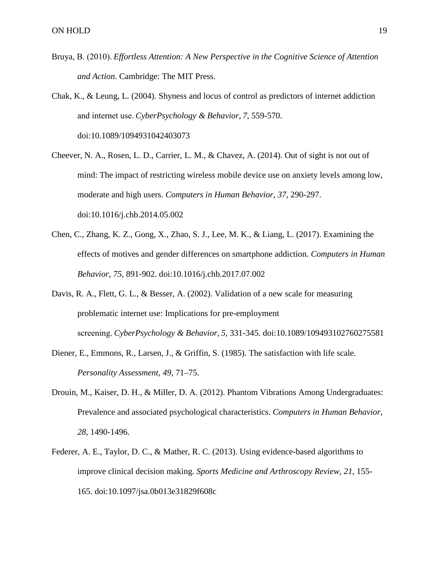- Bruya, B. (2010). *Effortless Attention: A New Perspective in the Cognitive Science of Attention and Action*. Cambridge: The MIT Press.
- Chak, K., & Leung, L. (2004). Shyness and locus of control as predictors of internet addiction and internet use. *CyberPsychology & Behavior, 7*, 559-570. doi:10.1089/1094931042403073
- Cheever, N. A., Rosen, L. D., Carrier, L. M., & Chavez, A. (2014). Out of sight is not out of mind: The impact of restricting wireless mobile device use on anxiety levels among low, moderate and high users. *Computers in Human Behavior, 37*, 290-297. doi:10.1016/j.chb.2014.05.002
- Chen, C., Zhang, K. Z., Gong, X., Zhao, S. J., Lee, M. K., & Liang, L. (2017). Examining the effects of motives and gender differences on smartphone addiction. *Computers in Human Behavior, 75*, 891-902. doi:10.1016/j.chb.2017.07.002
- Davis, R. A., Flett, G. L., & Besser, A. (2002). Validation of a new scale for measuring problematic internet use: Implications for pre-employment screening. *CyberPsychology & Behavior, 5*, 331-345. doi:10.1089/109493102760275581
- Diener, E., Emmons, R., Larsen, J., & Griffin, S. (1985). The satisfaction with life scale. *Personality Assessment, 49,* 71–75.
- Drouin, M., Kaiser, D. H., & Miller, D. A. (2012). Phantom Vibrations Among Undergraduates: Prevalence and associated psychological characteristics. *Computers in Human Behavior, 28*, 1490-1496.
- Federer, A. E., Taylor, D. C., & Mather, R. C. (2013). Using evidence-based algorithms to improve clinical decision making. *Sports Medicine and Arthroscopy Review, 21*, 155- 165. doi:10.1097/jsa.0b013e31829f608c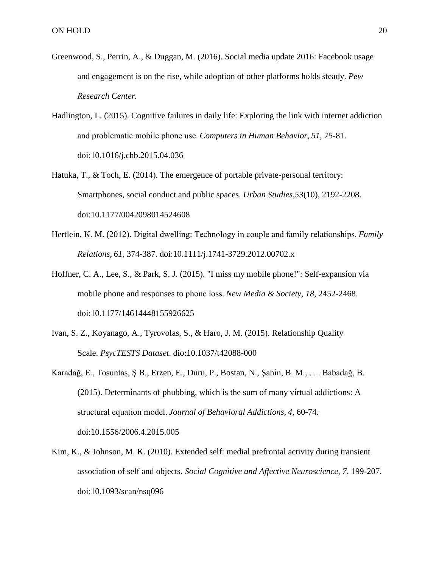- Greenwood, S., Perrin, A., & Duggan, M. (2016). Social media update 2016: Facebook usage and engagement is on the rise, while adoption of other platforms holds steady. *Pew Research Center.*
- Hadlington, L. (2015). Cognitive failures in daily life: Exploring the link with internet addiction and problematic mobile phone use. *Computers in Human Behavior, 51*, 75-81. doi:10.1016/j.chb.2015.04.036
- Hatuka, T., & Toch, E. (2014). The emergence of portable private-personal territory: Smartphones, social conduct and public spaces. *Urban Studies,53*(10), 2192-2208. doi:10.1177/0042098014524608
- Hertlein, K. M. (2012). Digital dwelling: Technology in couple and family relationships. *Family Relations, 61*, 374-387. doi:10.1111/j.1741-3729.2012.00702.x
- Hoffner, C. A., Lee, S., & Park, S. J. (2015). "I miss my mobile phone!": Self-expansion via mobile phone and responses to phone loss. *New Media & Society, 18*, 2452-2468. doi:10.1177/14614448155926625
- Ivan, S. Z., Koyanago, A., Tyrovolas, S., & Haro, J. M. (2015). Relationship Quality Scale. *PsycTESTS Dataset*. dio:10.1037/t42088-000
- Karadağ, E., Tosuntaş, Ş B., Erzen, E., Duru, P., Bostan, N., Şahin, B. M., . . . Babadağ, B. (2015). Determinants of phubbing, which is the sum of many virtual addictions: A structural equation model. *Journal of Behavioral Addictions, 4*, 60-74. doi:10.1556/2006.4.2015.005
- Kim, K., & Johnson, M. K. (2010). Extended self: medial prefrontal activity during transient association of self and objects. *Social Cognitive and Affective Neuroscience, 7*, 199-207. doi:10.1093/scan/nsq096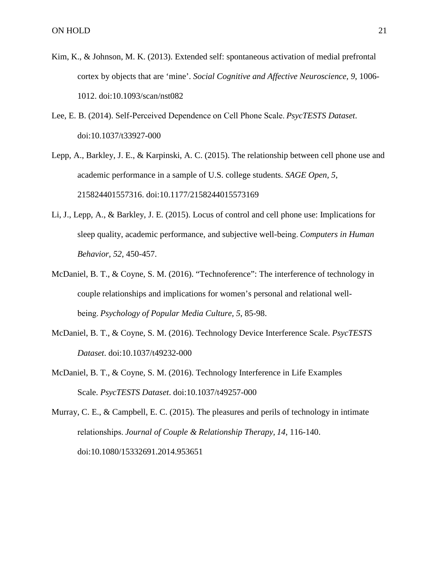- Kim, K., & Johnson, M. K. (2013). Extended self: spontaneous activation of medial prefrontal cortex by objects that are 'mine'. *Social Cognitive and Affective Neuroscience, 9*, 1006- 1012. doi:10.1093/scan/nst082
- Lee, E. B. (2014). Self-Perceived Dependence on Cell Phone Scale. *PsycTESTS Dataset*. doi:10.1037/t33927-000
- Lepp, A., Barkley, J. E., & Karpinski, A. C. (2015). The relationship between cell phone use and academic performance in a sample of U.S. college students. *SAGE Open, 5*, 215824401557316. doi:10.1177/2158244015573169
- Li, J., Lepp, A., & Barkley, J. E. (2015). Locus of control and cell phone use: Implications for sleep quality, academic performance, and subjective well-being. *Computers in Human Behavior, 52*, 450-457.
- McDaniel, B. T., & Coyne, S. M. (2016). "Technoference": The interference of technology in couple relationships and implications for women's personal and relational wellbeing. *Psychology of Popular Media Culture, 5*, 85-98.
- McDaniel, B. T., & Coyne, S. M. (2016). Technology Device Interference Scale. *PsycTESTS Dataset*. doi:10.1037/t49232-000
- McDaniel, B. T., & Coyne, S. M. (2016). Technology Interference in Life Examples Scale. *PsycTESTS Dataset*. doi:10.1037/t49257-000

Murray, C. E., & Campbell, E. C. (2015). The pleasures and perils of technology in intimate relationships. *Journal of Couple & Relationship Therapy, 14*, 116-140. doi:10.1080/15332691.2014.953651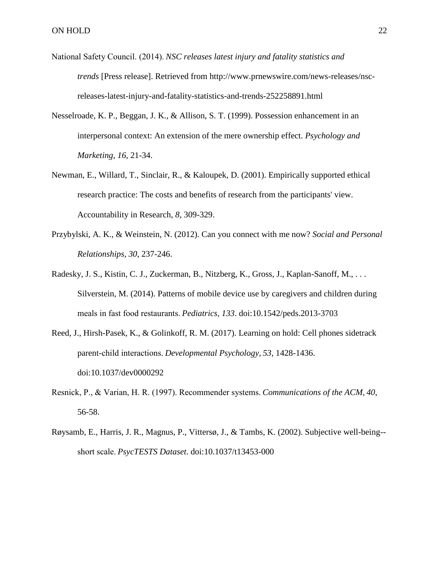- National Safety Council. (2014). *NSC releases latest injury and fatality statistics and trends* [Press release]. Retrieved from http://www.prnewswire.com/news-releases/nscreleases-latest-injury-and-fatality-statistics-and-trends-252258891.html
- Nesselroade, K. P., Beggan, J. K., & Allison, S. T. (1999). Possession enhancement in an interpersonal context: An extension of the mere ownership effect. *Psychology and Marketing, 16*, 21-34.
- Newman, E., Willard, T., Sinclair, R., & Kaloupek, D. (2001). Empirically supported ethical research practice: The costs and benefits of research from the participants' view. Accountability in Research, *8*, 309-329.
- Przybylski, A. K., & Weinstein, N. (2012). Can you connect with me now? *Social and Personal Relationships, 30*, 237-246.
- Radesky, J. S., Kistin, C. J., Zuckerman, B., Nitzberg, K., Gross, J., Kaplan-Sanoff, M., . . . Silverstein, M. (2014). Patterns of mobile device use by caregivers and children during meals in fast food restaurants. *Pediatrics, 133*. doi:10.1542/peds.2013-3703
- Reed, J., Hirsh-Pasek, K., & Golinkoff, R. M. (2017). Learning on hold: Cell phones sidetrack parent-child interactions. *Developmental Psychology, 53*, 1428-1436. doi:10.1037/dev0000292
- Resnick, P., & Varian, H. R. (1997). Recommender systems. *Communications of the ACM, 40*, 56-58.
- Røysamb, E., Harris, J. R., Magnus, P., Vittersø, J., & Tambs, K. (2002). Subjective well-being- short scale. *PsycTESTS Dataset*. doi:10.1037/t13453-000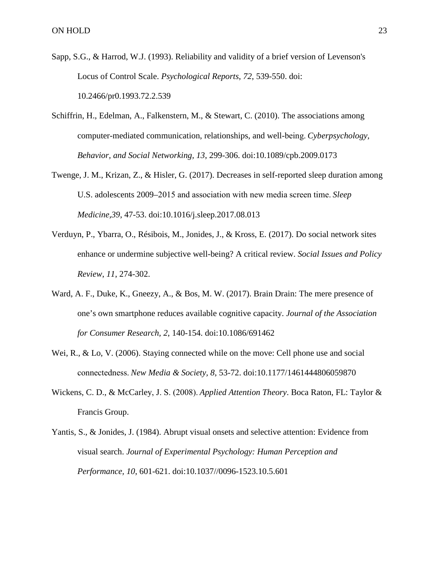- Sapp, S.G., & Harrod, W.J. (1993). Reliability and validity of a brief version of Levenson's Locus of Control Scale. *Psychological Reports*, *72*, 539-550. doi: 10.2466/pr0.1993.72.2.539
- Schiffrin, H., Edelman, A., Falkenstern, M., & Stewart, C. (2010). The associations among computer-mediated communication, relationships, and well-being. *Cyberpsychology, Behavior, and Social Networking, 13*, 299-306. doi:10.1089/cpb.2009.0173
- Twenge, J. M., Krizan, Z., & Hisler, G. (2017). Decreases in self-reported sleep duration among U.S. adolescents 2009–2015 and association with new media screen time. *Sleep Medicine,39*, 47-53. doi:10.1016/j.sleep.2017.08.013
- Verduyn, P., Ybarra, O., Résibois, M., Jonides, J., & Kross, E. (2017). Do social network sites enhance or undermine subjective well-being? A critical review. *Social Issues and Policy Review*, *11*, 274-302.
- Ward, A. F., Duke, K., Gneezy, A., & Bos, M. W. (2017). Brain Drain: The mere presence of one's own smartphone reduces available cognitive capacity. *Journal of the Association for Consumer Research, 2*, 140-154. doi:10.1086/691462
- Wei, R., & Lo, V. (2006). Staying connected while on the move: Cell phone use and social connectedness. *New Media & Society, 8*, 53-72. doi:10.1177/1461444806059870
- Wickens, C. D., & McCarley, J. S. (2008). *Applied Attention Theory*. Boca Raton, FL: Taylor & Francis Group.
- Yantis, S., & Jonides, J. (1984). Abrupt visual onsets and selective attention: Evidence from visual search. *Journal of Experimental Psychology: Human Perception and Performance, 10*, 601-621. doi:10.1037//0096-1523.10.5.601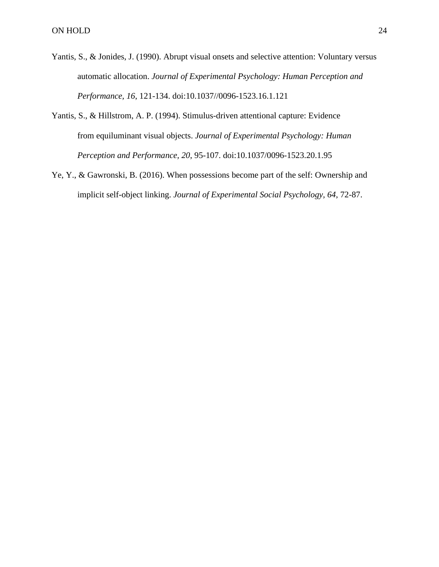- Yantis, S., & Jonides, J. (1990). Abrupt visual onsets and selective attention: Voluntary versus automatic allocation. *Journal of Experimental Psychology: Human Perception and Performance, 16*, 121-134. doi:10.1037//0096-1523.16.1.121
- Yantis, S., & Hillstrom, A. P. (1994). Stimulus-driven attentional capture: Evidence from equiluminant visual objects. *Journal of Experimental Psychology: Human Perception and Performance, 20*, 95-107. doi:10.1037/0096-1523.20.1.95
- Ye, Y., & Gawronski, B. (2016). When possessions become part of the self: Ownership and implicit self-object linking. *Journal of Experimental Social Psychology, 64*, 72-87.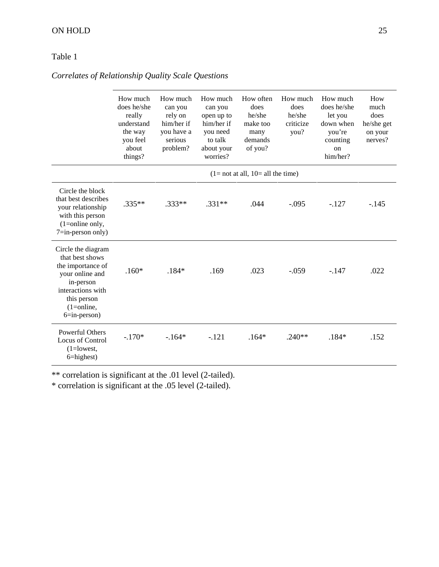# Table 1

*Correlates of Relationship Quality Scale Questions*

|                                                                                                                                                                   | How much<br>does he/she<br>really<br>understand<br>the way<br>you feel<br>about<br>things? | How much<br>can you<br>rely on<br>him/her if<br>you have a<br>serious<br>problem? | How much<br>can you<br>open up to<br>him/her if<br>you need<br>to talk<br>about your<br>worries? | How often<br>does<br>he/she<br>make too<br>many<br>demands<br>of you? | How much<br>does<br>he/she<br>criticize<br>you? | How much<br>does he/she<br>let you<br>down when<br>you're<br>counting<br>on<br>him/her? | How<br>much<br>does<br>he/she get<br>on your<br>nerves? |
|-------------------------------------------------------------------------------------------------------------------------------------------------------------------|--------------------------------------------------------------------------------------------|-----------------------------------------------------------------------------------|--------------------------------------------------------------------------------------------------|-----------------------------------------------------------------------|-------------------------------------------------|-----------------------------------------------------------------------------------------|---------------------------------------------------------|
|                                                                                                                                                                   | $(1 = not at all, 10 = all the time)$                                                      |                                                                                   |                                                                                                  |                                                                       |                                                 |                                                                                         |                                                         |
| Circle the block<br>that best describes<br>your relationship<br>with this person<br>$(1=$ online only,<br>$7=$ in-person only)                                    | $.335**$                                                                                   | $.333**$                                                                          | $.331**$                                                                                         | .044                                                                  | $-.095$                                         | $-.127$                                                                                 | $-145$                                                  |
| Circle the diagram<br>that best shows<br>the importance of<br>your online and<br>in-person<br>interactions with<br>this person<br>$(1=online,$<br>$6=$ in-person) | $.160*$                                                                                    | $.184*$                                                                           | .169                                                                                             | .023                                                                  | $-.059$                                         | $-.147$                                                                                 | .022                                                    |
| <b>Powerful Others</b><br>Locus of Control<br>$(1 = lowest,$<br>$6 =$ highest)                                                                                    | $-.170*$                                                                                   | $-164*$                                                                           | $-.121$                                                                                          | $.164*$                                                               | $.240**$                                        | $.184*$                                                                                 | .152                                                    |

\*\* correlation is significant at the .01 level (2-tailed).

\* correlation is significant at the .05 level (2-tailed).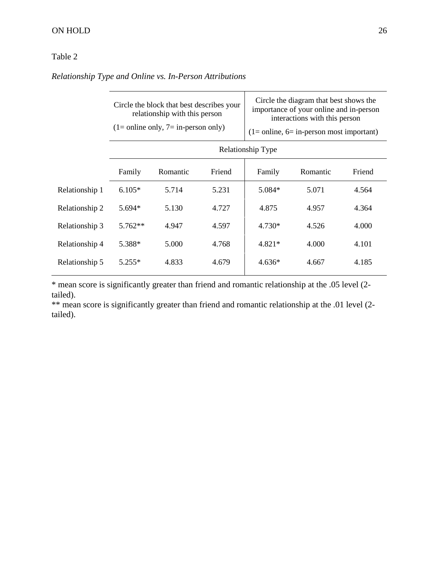# ON HOLD 26

# Table 2

*Relationship Type and Online vs. In-Person Attributions*

|                | Circle the block that best describes your<br>relationship with this person<br>$(1=$ online only, $7=$ in-person only) |          |        | Circle the diagram that best shows the<br>importance of your online and in-person<br>interactions with this person<br>$(1 = \text{online}, 6 = \text{in-person most important})$ |          |        |  |  |
|----------------|-----------------------------------------------------------------------------------------------------------------------|----------|--------|----------------------------------------------------------------------------------------------------------------------------------------------------------------------------------|----------|--------|--|--|
|                | Relationship Type                                                                                                     |          |        |                                                                                                                                                                                  |          |        |  |  |
|                | Family                                                                                                                | Romantic | Friend | Family                                                                                                                                                                           | Romantic | Friend |  |  |
| Relationship 1 | $6.105*$                                                                                                              | 5.714    | 5.231  | 5.084*                                                                                                                                                                           | 5.071    | 4.564  |  |  |
| Relationship 2 | 5.694*                                                                                                                | 5.130    | 4.727  | 4.875                                                                                                                                                                            | 4.957    | 4.364  |  |  |
| Relationship 3 | $5.762**$                                                                                                             | 4.947    | 4.597  | $4.730*$                                                                                                                                                                         | 4.526    | 4.000  |  |  |
| Relationship 4 | 5.388*                                                                                                                | 5.000    | 4.768  | 4.821*                                                                                                                                                                           | 4.000    | 4.101  |  |  |
| Relationship 5 | $5.255*$                                                                                                              | 4.833    | 4.679  | $4.636*$                                                                                                                                                                         | 4.667    | 4.185  |  |  |

\* mean score is significantly greater than friend and romantic relationship at the .05 level (2 tailed).

\*\* mean score is significantly greater than friend and romantic relationship at the .01 level (2tailed).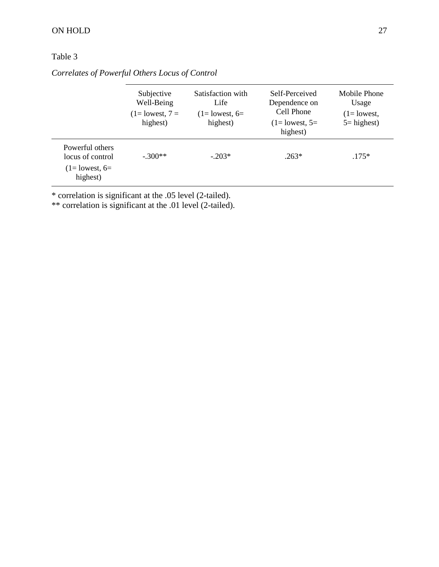# Table 3

|                                                                       | Subjective<br>Well-Being<br>$(1 =$ lowest, $7 =$<br>highest) | Satisfaction with<br>Life<br>$(1=$ lowest, 6=<br>highest) | Self-Perceived<br>Dependence on<br>Cell Phone<br>$(1=$ lowest, $5=$<br>highest) | Mobile Phone<br>Usage<br>$(1=$ lowest,<br>$5 =$ highest) |
|-----------------------------------------------------------------------|--------------------------------------------------------------|-----------------------------------------------------------|---------------------------------------------------------------------------------|----------------------------------------------------------|
| Powerful others<br>locus of control<br>$(1=$ lowest, $6=$<br>highest) | $-.300**$                                                    | $-203*$                                                   | $.263*$                                                                         | $.175*$                                                  |

*Correlates of Powerful Others Locus of Control*

\* correlation is significant at the .05 level (2-tailed).

\*\* correlation is significant at the .01 level (2-tailed).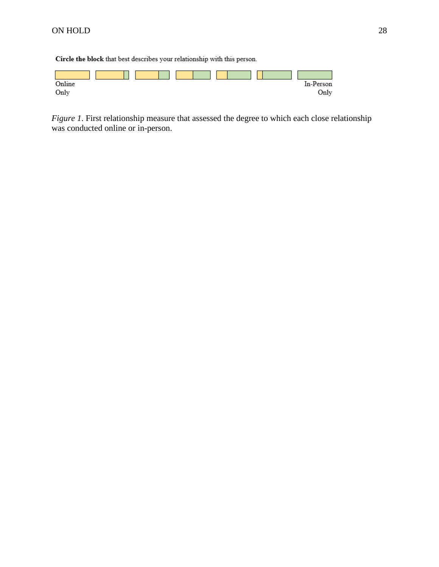Circle the block that best describes your relationship with this person.



*Figure 1*. First relationship measure that assessed the degree to which each close relationship was conducted online or in-person.